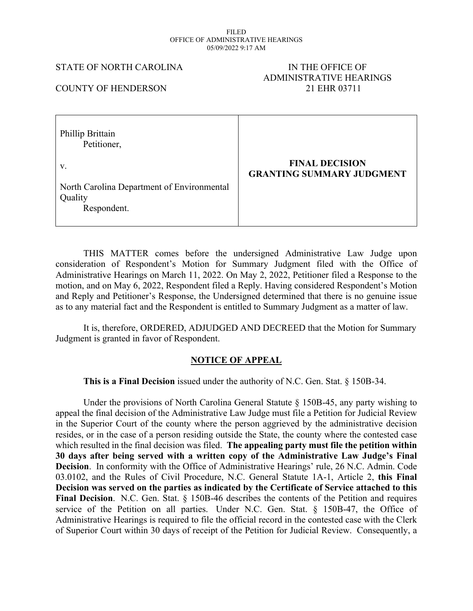#### FILED OFFICE OF ADMINISTRATIVE HEARINGS 05/09/2022 9:17 AM

### STATE OF NORTH CAROLINA IN THE OFFICE OF

# ADMINISTRATIVE HEARINGS COUNTY OF HENDERSON 21 EHR 03711

| Phillip Brittain<br>Petitioner,                                      |                                                           |
|----------------------------------------------------------------------|-----------------------------------------------------------|
| V.                                                                   | <b>FINAL DECISION</b><br><b>GRANTING SUMMARY JUDGMENT</b> |
| North Carolina Department of Environmental<br>Quality<br>Respondent. |                                                           |

THIS MATTER comes before the undersigned Administrative Law Judge upon consideration of Respondent's Motion for Summary Judgment filed with the Office of Administrative Hearings on March 11, 2022. On May 2, 2022, Petitioner filed a Response to the motion, and on May 6, 2022, Respondent filed a Reply. Having considered Respondent's Motion and Reply and Petitioner's Response, the Undersigned determined that there is no genuine issue as to any material fact and the Respondent is entitled to Summary Judgment as a matter of law.

It is, therefore, ORDERED, ADJUDGED AND DECREED that the Motion for Summary Judgment is granted in favor of Respondent.

## **NOTICE OF APPEAL**

**This is a Final Decision** issued under the authority of N.C. Gen. Stat. § 150B-34.

Under the provisions of North Carolina General Statute  $\S$  150B-45, any party wishing to appeal the final decision of the Administrative Law Judge must file a Petition for Judicial Review in the Superior Court of the county where the person aggrieved by the administrative decision resides, or in the case of a person residing outside the State, the county where the contested case which resulted in the final decision was filed. **The appealing party must file the petition within 30 days after being served with a written copy of the Administrative Law Judge's Final Decision**. In conformity with the Office of Administrative Hearings' rule, 26 N.C. Admin. Code 03.0102, and the Rules of Civil Procedure, N.C. General Statute 1A-1, Article 2, **this Final Decision was served on the parties as indicated by the Certificate of Service attached to this Final Decision**. N.C. Gen. Stat. § 150B-46 describes the contents of the Petition and requires service of the Petition on all parties. Under N.C. Gen. Stat. § 150B-47, the Office of Administrative Hearings is required to file the official record in the contested case with the Clerk of Superior Court within 30 days of receipt of the Petition for Judicial Review. Consequently, a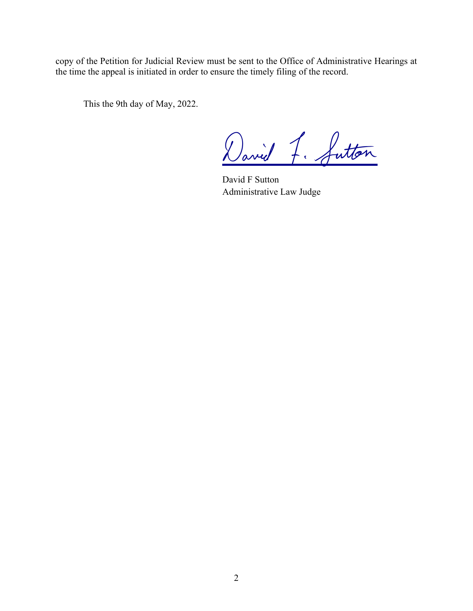copy of the Petition for Judicial Review must be sent to the Office of Administrative Hearings at the time the appeal is initiated in order to ensure the timely filing of the record.

This the 9th day of May, 2022.

David 7. futton

David F Sutton Administrative Law Judge